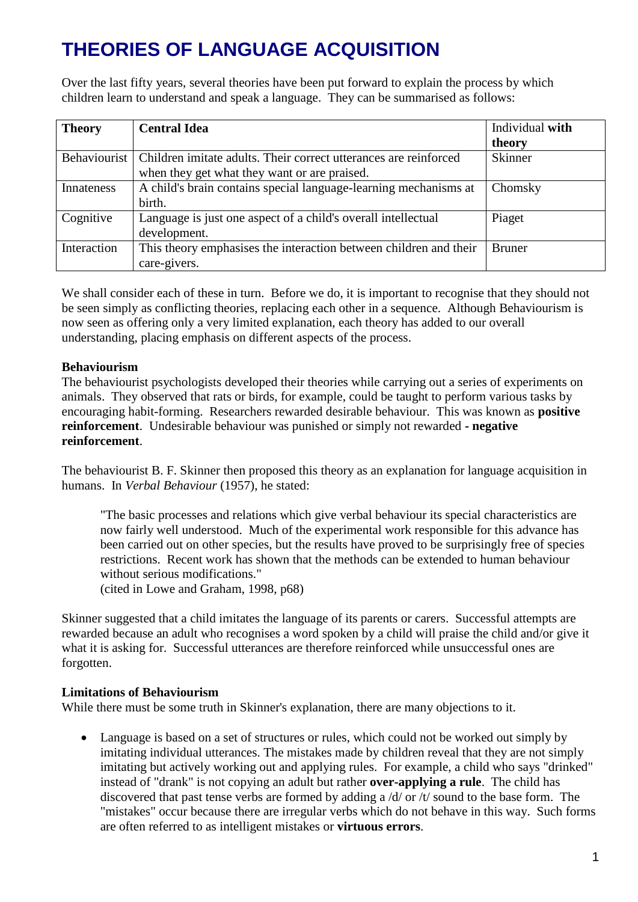# **THEORIES OF LANGUAGE ACQUISITION**

Over the last fifty years, several theories have been put forward to explain the process by which children learn to understand and speak a language. They can be summarised as follows:

| <b>Theory</b> | <b>Central Idea</b>                                               | Individual with |
|---------------|-------------------------------------------------------------------|-----------------|
|               |                                                                   | theory          |
| Behaviourist  | Children imitate adults. Their correct utterances are reinforced  | <b>Skinner</b>  |
|               | when they get what they want or are praised.                      |                 |
| Innateness    | A child's brain contains special language-learning mechanisms at  | Chomsky         |
|               | birth.                                                            |                 |
| Cognitive     | Language is just one aspect of a child's overall intellectual     | Piaget          |
|               | development.                                                      |                 |
| Interaction   | This theory emphasises the interaction between children and their | <b>Bruner</b>   |
|               | care-givers.                                                      |                 |

We shall consider each of these in turn. Before we do, it is important to recognise that they should not be seen simply as conflicting theories, replacing each other in a sequence. Although Behaviourism is now seen as offering only a very limited explanation, each theory has added to our overall understanding, placing emphasis on different aspects of the process.

## **Behaviourism**

The behaviourist psychologists developed their theories while carrying out a series of experiments on animals. They observed that rats or birds, for example, could be taught to perform various tasks by encouraging habit-forming. Researchers rewarded desirable behaviour. This was known as **positive reinforcement**. Undesirable behaviour was punished or simply not rewarded **- negative reinforcement**.

The behaviourist B. F. Skinner then proposed this theory as an explanation for language acquisition in humans. In *Verbal Behaviour* (1957), he stated:

"The basic processes and relations which give verbal behaviour its special characteristics are now fairly well understood. Much of the experimental work responsible for this advance has been carried out on other species, but the results have proved to be surprisingly free of species restrictions. Recent work has shown that the methods can be extended to human behaviour without serious modifications."

(cited in Lowe and Graham, 1998, p68)

Skinner suggested that a child imitates the language of its parents or carers. Successful attempts are rewarded because an adult who recognises a word spoken by a child will praise the child and/or give it what it is asking for. Successful utterances are therefore reinforced while unsuccessful ones are forgotten.

### **Limitations of Behaviourism**

While there must be some truth in Skinner's explanation, there are many objections to it.

 Language is based on a set of structures or rules, which could not be worked out simply by imitating individual utterances. The mistakes made by children reveal that they are not simply imitating but actively working out and applying rules. For example, a child who says "drinked" instead of "drank" is not copying an adult but rather **over-applying a rule**. The child has discovered that past tense verbs are formed by adding a  $\frac{d}{dx}$  or  $\frac{d}{dx}$  sound to the base form. The "mistakes" occur because there are irregular verbs which do not behave in this way. Such forms are often referred to as intelligent mistakes or **virtuous errors**.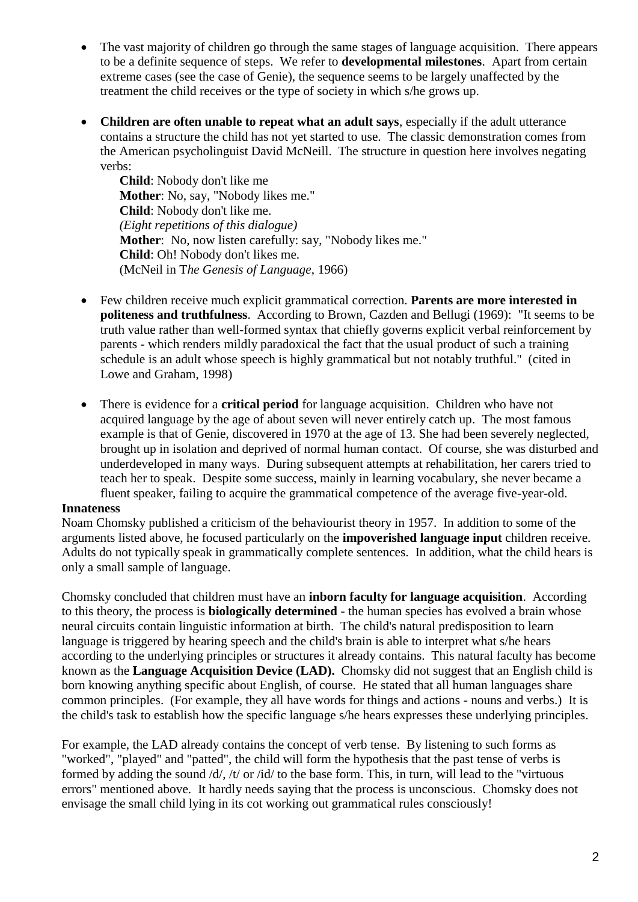- The vast majority of children go through the same stages of language acquisition. There appears to be a definite sequence of steps. We refer to **developmental milestones**.Apart from certain extreme cases (see the case of Genie), the sequence seems to be largely unaffected by the treatment the child receives or the type of society in which s/he grows up.
- **Children are often unable to repeat what an adult says**, especially if the adult utterance contains a structure the child has not yet started to use. The classic demonstration comes from the American psycholinguist David McNeill. The structure in question here involves negating verbs:

**Child**: Nobody don't like me **Mother**: No, say, "Nobody likes me." **Child**: Nobody don't like me. *(Eight repetitions of this dialogue)* **Mother**: No, now listen carefully: say, "Nobody likes me." **Child**: Oh! Nobody don't likes me. (McNeil in T*he Genesis of Language*, 1966)

- Few children receive much explicit grammatical correction. **Parents are more interested in politeness and truthfulness**. According to Brown, Cazden and Bellugi (1969): "It seems to be truth value rather than well-formed syntax that chiefly governs explicit verbal reinforcement by parents - which renders mildly paradoxical the fact that the usual product of such a training schedule is an adult whose speech is highly grammatical but not notably truthful." (cited in Lowe and Graham, 1998)
- There is evidence for a **critical period** for language acquisition. Children who have not acquired language by the age of about seven will never entirely catch up. The most famous example is that of Genie, discovered in 1970 at the age of 13. She had been severely neglected, brought up in isolation and deprived of normal human contact. Of course, she was disturbed and underdeveloped in many ways. During subsequent attempts at rehabilitation, her carers tried to teach her to speak. Despite some success, mainly in learning vocabulary, she never became a fluent speaker, failing to acquire the grammatical competence of the average five-year-old.

### **Innateness**

Noam Chomsky published a criticism of the behaviourist theory in 1957. In addition to some of the arguments listed above, he focused particularly on the **impoverished language input** children receive. Adults do not typically speak in grammatically complete sentences. In addition, what the child hears is only a small sample of language.

Chomsky concluded that children must have an **inborn faculty for language acquisition**. According to this theory, the process is **biologically determined** - the human species has evolved a brain whose neural circuits contain linguistic information at birth. The child's natural predisposition to learn language is triggered by hearing speech and the child's brain is able to interpret what s/he hears according to the underlying principles or structures it already contains. This natural faculty has become known as the **Language Acquisition Device (LAD).** Chomsky did not suggest that an English child is born knowing anything specific about English, of course. He stated that all human languages share common principles. (For example, they all have words for things and actions - nouns and verbs.) It is the child's task to establish how the specific language s/he hears expresses these underlying principles.

For example, the LAD already contains the concept of verb tense. By listening to such forms as "worked", "played" and "patted", the child will form the hypothesis that the past tense of verbs is formed by adding the sound /d/, /t/ or /id/ to the base form. This, in turn, will lead to the "virtuous errors" mentioned above. It hardly needs saying that the process is unconscious. Chomsky does not envisage the small child lying in its cot working out grammatical rules consciously!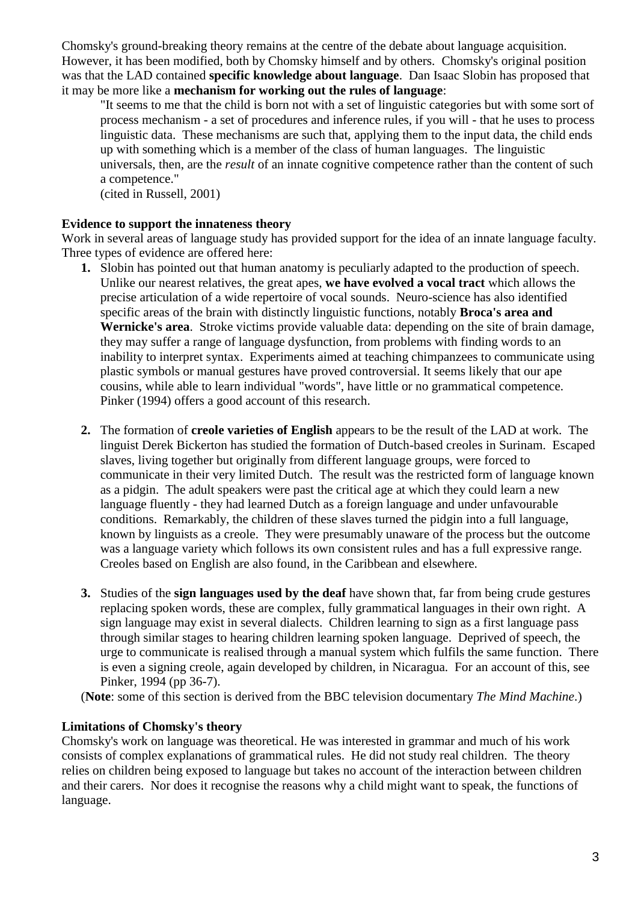Chomsky's ground-breaking theory remains at the centre of the debate about language acquisition. However, it has been modified, both by Chomsky himself and by others.Chomsky's original position was that the LAD contained **specific knowledge about language**. Dan Isaac Slobin has proposed that it may be more like a **mechanism for working out the rules of language**:

"It seems to me that the child is born not with a set of linguistic categories but with some sort of process mechanism - a set of procedures and inference rules, if you will - that he uses to process linguistic data. These mechanisms are such that, applying them to the input data, the child ends up with something which is a member of the class of human languages. The linguistic universals, then, are the *result* of an innate cognitive competence rather than the content of such a competence."

(cited in Russell, 2001)

#### **Evidence to support the innateness theory**

Work in several areas of language study has provided support for the idea of an innate language faculty. Three types of evidence are offered here:

- **1.** Slobin has pointed out that human anatomy is peculiarly adapted to the production of speech. Unlike our nearest relatives, the great apes, **we have evolved a vocal tract** which allows the precise articulation of a wide repertoire of vocal sounds. Neuro-science has also identified specific areas of the brain with distinctly linguistic functions, notably **Broca's area and Wernicke's area**. Stroke victims provide valuable data: depending on the site of brain damage, they may suffer a range of language dysfunction, from problems with finding words to an inability to interpret syntax. Experiments aimed at teaching chimpanzees to communicate using plastic symbols or manual gestures have proved controversial. It seems likely that our ape cousins, while able to learn individual "words", have little or no grammatical competence. Pinker (1994) offers a good account of this research.
- **2.** The formation of **creole varieties of English** appears to be the result of the LAD at work. The linguist Derek Bickerton has studied the formation of Dutch-based creoles in Surinam. Escaped slaves, living together but originally from different language groups, were forced to communicate in their very limited Dutch. The result was the restricted form of language known as a pidgin. The adult speakers were past the critical age at which they could learn a new language fluently - they had learned Dutch as a foreign language and under unfavourable conditions. Remarkably, the children of these slaves turned the pidgin into a full language, known by linguists as a creole. They were presumably unaware of the process but the outcome was a language variety which follows its own consistent rules and has a full expressive range. Creoles based on English are also found, in the Caribbean and elsewhere.
- **3.** Studies of the **sign languages used by the deaf** have shown that, far from being crude gestures replacing spoken words, these are complex, fully grammatical languages in their own right. A sign language may exist in several dialects. Children learning to sign as a first language pass through similar stages to hearing children learning spoken language. Deprived of speech, the urge to communicate is realised through a manual system which fulfils the same function. There is even a signing creole, again developed by children, in Nicaragua. For an account of this, see Pinker, 1994 (pp 36-7).

(**Note**: some of this section is derived from the BBC television documentary *The Mind Machine*.)

### **Limitations of Chomsky's theory**

Chomsky's work on language was theoretical. He was interested in grammar and much of his work consists of complex explanations of grammatical rules. He did not study real children. The theory relies on children being exposed to language but takes no account of the interaction between children and their carers. Nor does it recognise the reasons why a child might want to speak, the functions of language.